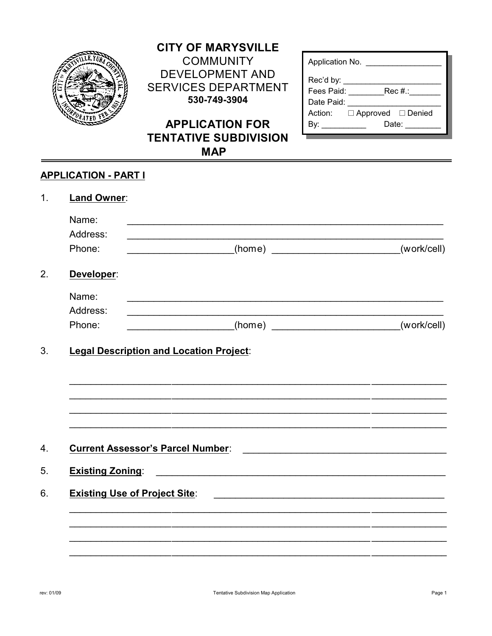

## **CITY OF MARYSVILLE COMMUNITY DEVELOPMENT AND SERVICES DEPARTMENT** 530-749-3904

# **APPLICATION FOR TENTATIVE SUBDIVISION MAP**

| Application No.                                        |
|--------------------------------------------------------|
| Rec'd by: $\_\_$<br>Rec#::<br>Fees Paid:<br>Date Paid: |
| Action: □ Approved □ Denied<br>Date: <b>Date</b>       |

### **APPLICATION - PART I**

| Land Owner:                              |                                                                                                                       |             |
|------------------------------------------|-----------------------------------------------------------------------------------------------------------------------|-------------|
| Name:                                    | <u> 1989 - Johann Stoff, amerikansk politiker (* 1908)</u>                                                            |             |
| Address:<br>Phone:                       |                                                                                                                       | (work/cell) |
| Developer:                               |                                                                                                                       |             |
| Name:                                    |                                                                                                                       |             |
| Address:                                 |                                                                                                                       |             |
| Phone:                                   | ______________________(home) __________________________(work/cell)                                                    |             |
|                                          |                                                                                                                       |             |
| <b>Current Assessor's Parcel Number:</b> |                                                                                                                       |             |
| <b>Existing Zoning:</b>                  | <u> 1989 - Johann Harry Harry Harry Harry Harry Harry Harry Harry Harry Harry Harry Harry Harry Harry Harry Harry</u> |             |
| <b>Existing Use of Project Site:</b>     |                                                                                                                       |             |
|                                          |                                                                                                                       |             |
|                                          |                                                                                                                       |             |
|                                          |                                                                                                                       |             |
|                                          |                                                                                                                       |             |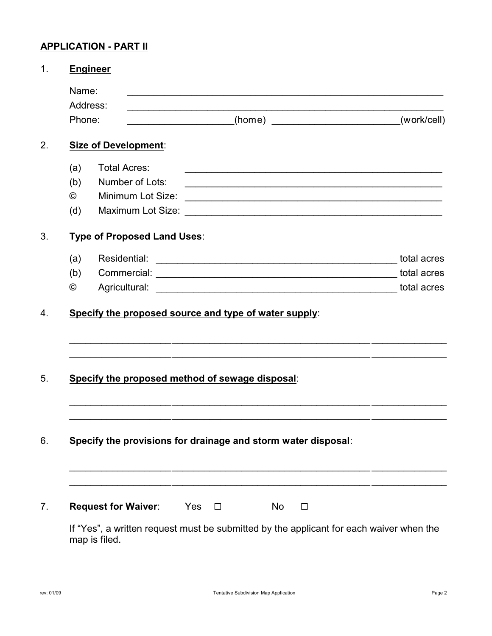## **APPLICATION - PART II**

| <b>Engineer</b> |                                                                                                                                                                                                                               |             |
|-----------------|-------------------------------------------------------------------------------------------------------------------------------------------------------------------------------------------------------------------------------|-------------|
| Name:           |                                                                                                                                                                                                                               |             |
| Address:        | <u> 1989 - Johann Barbara, martin amerikan basal dan berasal dan berasal dalam basal dalam basal dalam basal dan</u>                                                                                                          |             |
| Phone:          | _____________________(home) ________________________________                                                                                                                                                                  | (work/cell) |
|                 | <b>Size of Development:</b>                                                                                                                                                                                                   |             |
| (a)             | <b>Total Acres:</b>                                                                                                                                                                                                           |             |
| (b)             | Number of Lots:                                                                                                                                                                                                               |             |
| $^{\circ}$      | Minimum Lot Size:                                                                                                                                                                                                             |             |
| (d)             |                                                                                                                                                                                                                               |             |
|                 | <b>Type of Proposed Land Uses:</b>                                                                                                                                                                                            |             |
| (a)             | Residential:                                                                                                                                                                                                                  | total acres |
| (b)             |                                                                                                                                                                                                                               | total acres |
| ©               | Agricultural: Latin Maria Contract Agricultural: Latin Maria Contract Agricultural: Latin Maria Contract Agricultural Agricultural Agricultural Agricultural Agricultural Agricultural Agricultural Agricultural Agricultural |             |
|                 |                                                                                                                                                                                                                               |             |
|                 | Specify the proposed method of sewage disposal:                                                                                                                                                                               |             |
|                 |                                                                                                                                                                                                                               |             |
|                 |                                                                                                                                                                                                                               |             |
|                 | Specify the provisions for drainage and storm water disposal:                                                                                                                                                                 |             |
|                 |                                                                                                                                                                                                                               |             |
|                 | <b>Request for Waiver:</b><br>Yes<br>No<br>$\Box$<br>П                                                                                                                                                                        |             |
|                 | If "Yes", a written request must be submitted by the applicant for each waiver when the<br>map is filed.                                                                                                                      |             |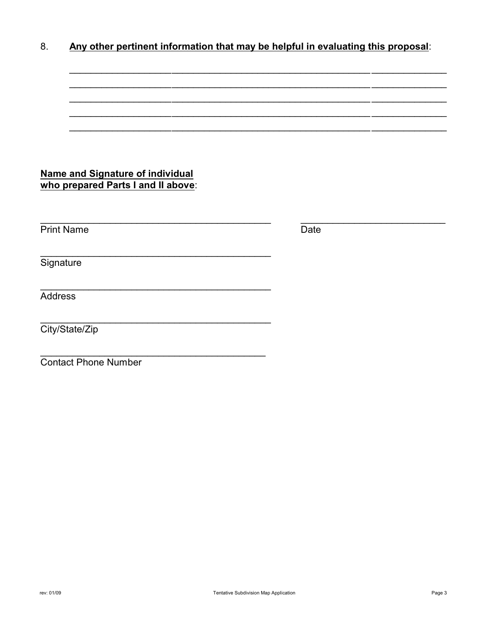|--|

| <b>Name and Signature of individual</b><br>who prepared Parts I and II above: |      |  |
|-------------------------------------------------------------------------------|------|--|
|                                                                               |      |  |
| <b>Print Name</b>                                                             | Date |  |
|                                                                               |      |  |
| Signature                                                                     |      |  |
|                                                                               |      |  |
| <b>Address</b>                                                                |      |  |
|                                                                               |      |  |
| City/State/Zip                                                                |      |  |
|                                                                               |      |  |
| <b>Contact Phone Number</b>                                                   |      |  |